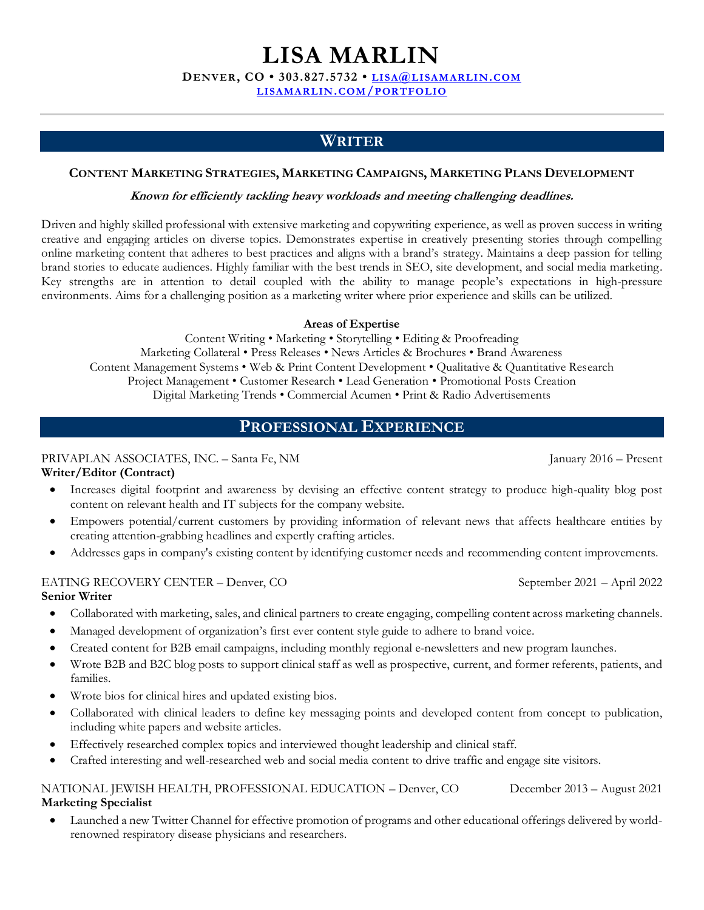# **LISA MARLIN**

**DENVER, CO • 303.827.5732 • LISA@[LISAMARLIN](mailto:lisa@lisamarlin.com).COM**

**[LISAMARLIN](https://www.lisamarlin.com/portfolio).COM/PORTFOLIO**

## **WRITER**

#### **CONTENT MARKETING STRATEGIES, MARKETING CAMPAIGNS, MARKETING PLANS DEVELOPMENT**

#### **Known for efficiently tackling heavy workloads and meeting challenging deadlines.**

Driven and highly skilled professional with extensive marketing and copywriting experience, as well as proven success in writing creative and engaging articles on diverse topics. Demonstrates expertise in creatively presenting stories through compelling online marketing content that adheres to best practices and aligns with a brand's strategy. Maintains a deep passion for telling brand stories to educate audiences. Highly familiar with the best trends in SEO, site development, and social media marketing. Key strengths are in attention to detail coupled with the ability to manage people's expectations in high-pressure environments. Aims for a challenging position as a marketing writer where prior experience and skills can be utilized.

#### **Areas of Expertise**

Content Writing • Marketing • Storytelling • Editing & Proofreading Marketing Collateral • Press Releases • News Articles & Brochures • Brand Awareness Content Management Systems • Web & Print Content Development • Qualitative & Quantitative Research Project Management • Customer Research • Lead Generation • Promotional Posts Creation Digital Marketing Trends • Commercial Acumen • Print & Radio Advertisements

## **PROFESSIONAL EXPERIENCE**

#### PRIVAPLAN ASSOCIATES, INC. – Santa Fe, NM January 2016 – Present

#### **Writer/Editor (Contract)**

- Increases digital footprint and awareness by devising an effective content strategy to produce high-quality blog post content on relevant health and IT subjects for the company website.
- Empowers potential/current customers by providing information of relevant news that affects healthcare entities by creating attention-grabbing headlines and expertly crafting articles.
- Addresses gaps in company's existing content by identifying customer needs and recommending content improvements.

#### EATING RECOVERY CENTER – Denver, CO September 2021 – April 2022 **Senior Writer**

- Collaborated with marketing, sales, and clinical partners to create engaging, compelling content across marketing channels.
- Managed development of organization's first ever content style guide to adhere to brand voice.
- Created content for B2B email campaigns, including monthly regional e-newsletters and new program launches.
- Wrote B2B and B2C blog posts to support clinical staff as well as prospective, current, and former referents, patients, and families.
- Wrote bios for clinical hires and updated existing bios.
- Collaborated with clinical leaders to define key messaging points and developed content from concept to publication, including white papers and website articles.
- Effectively researched complex topics and interviewed thought leadership and clinical staff.
- Crafted interesting and well-researched web and social media content to drive traffic and engage site visitors.

#### NATIONAL JEWISH HEALTH, PROFESSIONAL EDUCATION – Denver, CO December 2013 – August 2021 **Marketing Specialist**

• Launched a new Twitter Channel for effective promotion of programs and other educational offerings delivered by worldrenowned respiratory disease physicians and researchers.